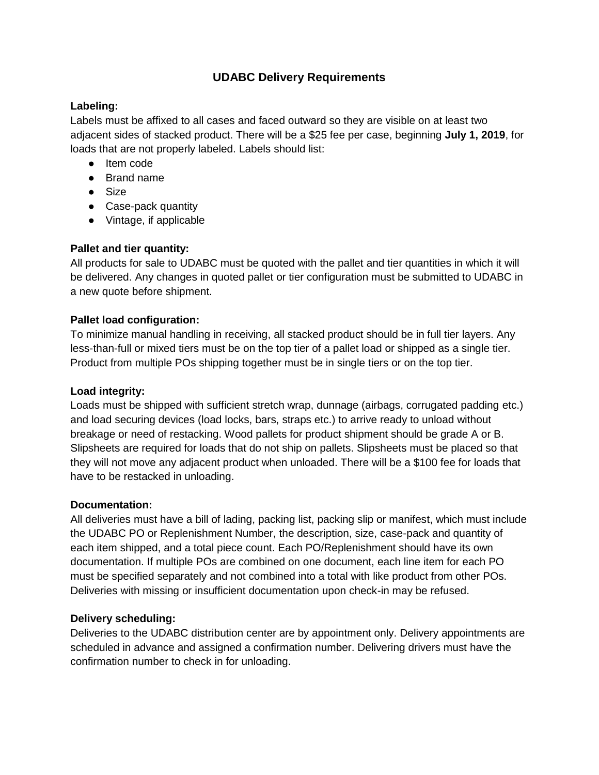# **UDABC Delivery Requirements**

## **Labeling:**

Labels must be affixed to all cases and faced outward so they are visible on at least two adjacent sides of stacked product. There will be a \$25 fee per case, beginning **July 1, 2019**, for loads that are not properly labeled. Labels should list:

- Item code
- Brand name
- Size
- Case-pack quantity
- Vintage, if applicable

## **Pallet and tier quantity:**

All products for sale to UDABC must be quoted with the pallet and tier quantities in which it will be delivered. Any changes in quoted pallet or tier configuration must be submitted to UDABC in a new quote before shipment.

## **Pallet load configuration:**

To minimize manual handling in receiving, all stacked product should be in full tier layers. Any less-than-full or mixed tiers must be on the top tier of a pallet load or shipped as a single tier. Product from multiple POs shipping together must be in single tiers or on the top tier.

## **Load integrity:**

Loads must be shipped with sufficient stretch wrap, dunnage (airbags, corrugated padding etc.) and load securing devices (load locks, bars, straps etc.) to arrive ready to unload without breakage or need of restacking. Wood pallets for product shipment should be grade A or B. Slipsheets are required for loads that do not ship on pallets. Slipsheets must be placed so that they will not move any adjacent product when unloaded. There will be a \$100 fee for loads that have to be restacked in unloading.

## **Documentation:**

All deliveries must have a bill of lading, packing list, packing slip or manifest, which must include the UDABC PO or Replenishment Number, the description, size, case-pack and quantity of each item shipped, and a total piece count. Each PO/Replenishment should have its own documentation. If multiple POs are combined on one document, each line item for each PO must be specified separately and not combined into a total with like product from other POs. Deliveries with missing or insufficient documentation upon check-in may be refused.

## **Delivery scheduling:**

Deliveries to the UDABC distribution center are by appointment only. Delivery appointments are scheduled in advance and assigned a confirmation number. Delivering drivers must have the confirmation number to check in for unloading.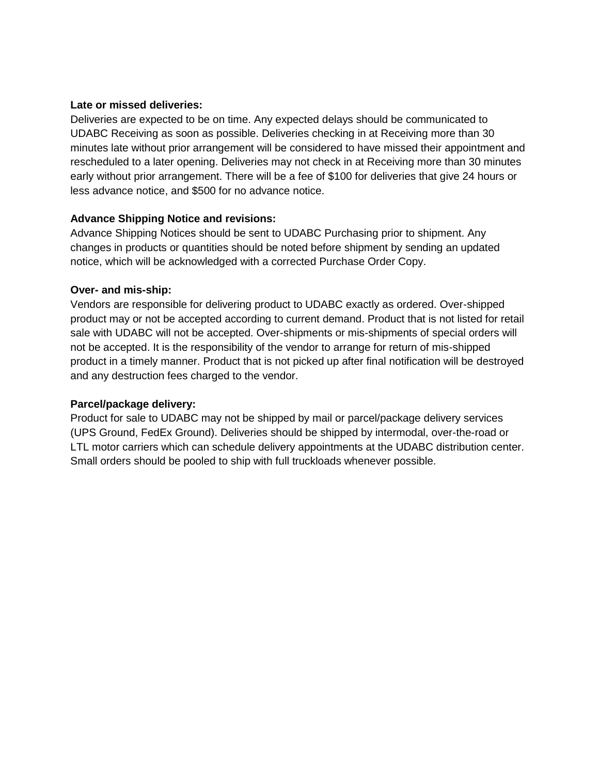#### **Late or missed deliveries:**

Deliveries are expected to be on time. Any expected delays should be communicated to UDABC Receiving as soon as possible. Deliveries checking in at Receiving more than 30 minutes late without prior arrangement will be considered to have missed their appointment and rescheduled to a later opening. Deliveries may not check in at Receiving more than 30 minutes early without prior arrangement. There will be a fee of \$100 for deliveries that give 24 hours or less advance notice, and \$500 for no advance notice.

## **Advance Shipping Notice and revisions:**

Advance Shipping Notices should be sent to UDABC Purchasing prior to shipment. Any changes in products or quantities should be noted before shipment by sending an updated notice, which will be acknowledged with a corrected Purchase Order Copy.

#### **Over- and mis-ship:**

Vendors are responsible for delivering product to UDABC exactly as ordered. Over-shipped product may or not be accepted according to current demand. Product that is not listed for retail sale with UDABC will not be accepted. Over-shipments or mis-shipments of special orders will not be accepted. It is the responsibility of the vendor to arrange for return of mis-shipped product in a timely manner. Product that is not picked up after final notification will be destroyed and any destruction fees charged to the vendor.

#### **Parcel/package delivery:**

Product for sale to UDABC may not be shipped by mail or parcel/package delivery services (UPS Ground, FedEx Ground). Deliveries should be shipped by intermodal, over-the-road or LTL motor carriers which can schedule delivery appointments at the UDABC distribution center. Small orders should be pooled to ship with full truckloads whenever possible.